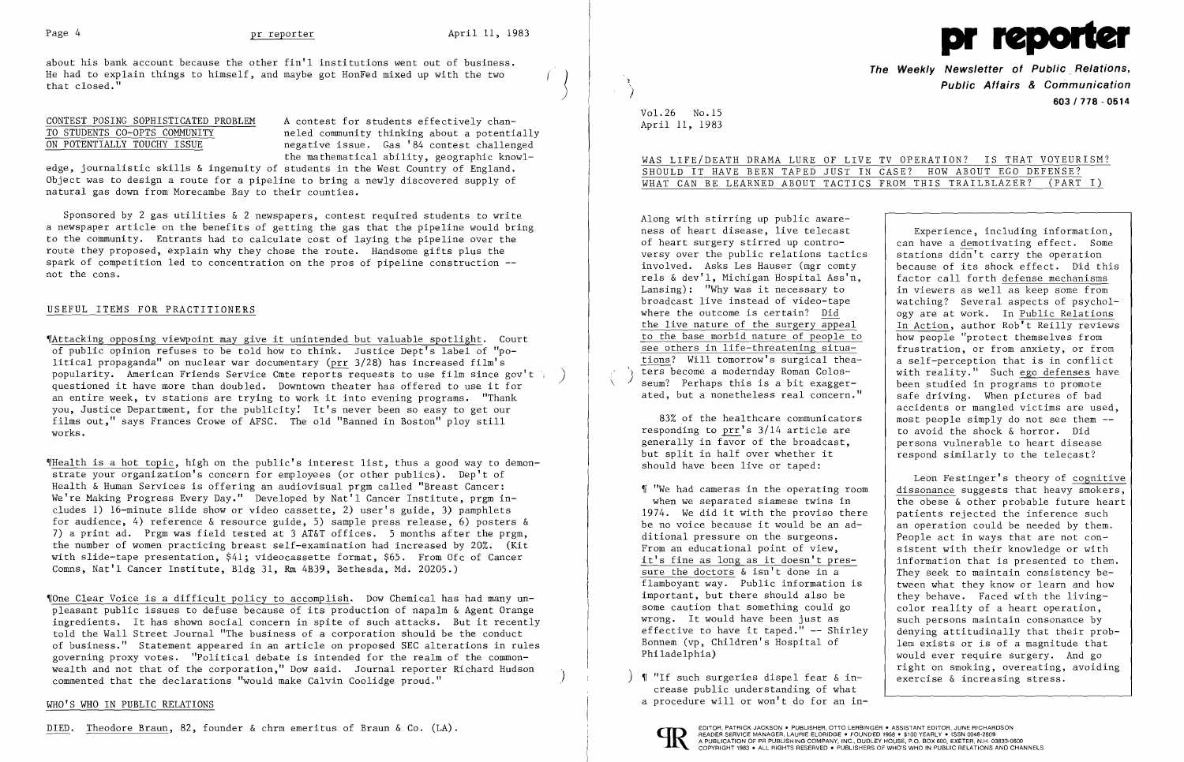

about his bank account because the other fin'l institutions went out of business. He had to explain things to himself, and maybe got HonFed mixed up with the two that closed."  $\left\{\right\}$ 

CONTEST POSING SOPHISTICATED PROBLEM A contest for students effectively chan-<br>TO STUDENTS CO-OPTS COMMUNITY aneled community thinking about a potenti. TO STUDENTS CO-OPTS COMMUNITY and the neled community thinking about a potentially<br>
ON POTENTIALLY TOUCHY ISSUE and the negative issue. Gas '84 contest challenged negative issue. Gas '84 contest challenged the mathematical ability, geographic knowl-

edge, journalistic skills & ingenuity of students in the West Country of England. Object was to design a route for a pipeline to bring a newly discovered supply of natural gas down from Morecambe Bay to their counties.

Sponsored by 2 gas utilities & 2 newspapers, contest required students to write a newspaper article on the benefits of getting the gas that the pipeline would bring to the community. Entrants had to calculate cost of laying the pipeline over the route they proposed, explain why they chose the route. Handsome gifts plus the spark of competition led to concentration on the pros of pipeline construction not the cons.

## USEFUL ITEMS FOR PRACTITIONERS

~IOne Clear Voice is a difficult policy to accomplish. Dow Chemical has had many unpleasant public issues to defuse because of its production of napalm & Agent Orange ingredients. It has shown social concern in spite of such attacks. But it recently told the Wall Street Journal "The business of a corporation should be the conduct of business." Statement appeared in an article on proposed SEC alterations in rules governing proxy votes. "Political debate is intended for the realm of the commonwealth and not that of the corporation," Dow said. Journal reporter Richard Hudson commented that the declarations "would make Calvin Coolidge proud."

~[Attacking opposing viewpoint may give it unintended but valuable spotlight. Court of public opinion refuses to be told how to think. Justice Dept's label of "political propaganda" on nuclear war documentary (prr 3/28) has increased film's popularity. American Friends Service Cmte reports requests to use film since gov't  $\frac{1}{2}$  questioned it have more than doubled. Downtown theater has offered to use it for an entire week, tv stations are trying to work it into evening programs. "Thank you, Justice Department, for the publicity! It's never been so easy to get our films out," says Frances Crowe of AFSC. The old "Banned in Boston" ploy still works.

"l  $\overline{\phantom{a}}$ 

# WAS LIFE/DEATH DRAMA LURE OF LIVE TV OPERATION? IS THAT VOYEURISM? SHOULD IT HAVE BEEN TAPED JUST IN CASE? HOW ABOUT EGO DEFENSE? WHAT CAN BE LEARNED ABOUT TACTICS FROM THIS TRAILBLAZER? (PART I)

~IHealth is a hot topic, high on the public's interest list, thus a good way to demonstrate your organization's concern for employees (or other publics). Dep't of Health & Human Services is offering an audiovisual prgm called "Breast Cancer: We're Making Progress Every Day." Developed by Nat'l Cancer Institute, prgm includes 1) 16-minute slide show or video cassette, 2) user's guide, 3) pamphlets for audience, 4) reference & resource guide, 5) sample press release, 6) posters & 7) a print ad. Prgm was field tested at 3 AT&T offices. 5 months after the prgm, the number of women practicing breast self-examination had increased by 20%. (Kit with slide-tape presentation, \$41; videocassette format, \$65. From Ofc of Cancer Comns, Nat'l Cancer Institute, Bldg 31, Rm 4B39, Bethesda, Md. 20205.)

> $)$  ¶ "If such surgeries dispel fear & increase public understanding of what a procedure will or won't do for an in-



### WHO'S WHO IN PUBLIC RELATIONS

DIED. Theodore Braun, 82, founder & chrm emeritus of Braun & Co. (LA).<br> **EDITOR, PATRICK JACKSON. PUBLISHER, CONTO PRADER SERVICE MANAGER, LAURIE ELDRIDGE • FOUNDED 1958 • \$100 YEARLY • ISSN 0048-2609** 

} )

 $\overline{\phantom{0}}$ 

Vol. 26 No. 15 April 11, 1983 **The Weekly Newsletter of PUblic. Relations, Public Affairs & Communication 603/778 - 0514** 

Along with stirring up public awareness of heart disease, live telecast of heart surgery stirred up controversy over the public relations tactics involved. Asks Les Hauser (mgr comty rels & dev'l, Michigan Hospital Ass'n, Lansing): "Why was it necessary to broadcast live instead of video-tape where the outcome is certain? Did the live nature of the surgery appeal to the base morbid nature of people to see others in life-threatening situations? Will tomorrow's surgical theaters become a modernday Roman Colosseum? Perhaps this is a bit exaggerated, but a nonetheless real concern."

83% of the healthcare communicators responding to prr's 3/14 article are generally in favor of the broadcast, but split in half over whether it should have been live or taped:

~I "We had cameras in the operating room when we separated siamese twins in 1974. We did it with the proviso there be no voice because it would be an additional pressure on the surgeons. From an educational point of view, it's fine as long as it doesn't pressure the doctors & isn't done in a flamboyant way. Public information is important, but there should also be some caution that something could go wrong. It would have been just as effective to have it taped." -- Shirley Bonnem (vp, Children's Hospital of Philadelphia)

Experience, including information, can have a demotivating effect. Some stations didn't carry the operation because of its shock effect. Did this factor call forth defense mechanisms in viewers as well as keep some from watching? Several aspects of psychology are at work. In Public Relations In Action, author Rob't Reilly reviews how people "protect themselves from frustration, or from anxiety, or from a self-perception that is in conflict with reality." Such ego defenses have been studied in programs to promote safe driving. When pictures of bad accidents or mangled victims are used, most people simply do not see them to avoid the shock & horror. Did persons vulnerable to heart disease respond similarly to the telecast?

Leon Festinger's theory of cognitive dissonance suggests that heavy smokers, the obese & other probable future heart patients rejected the inference such an operation could be needed by them. People act in ways that are not consistent with their knowledge or with information that is presented to them. They seek to maintain consistency between what they know or learn and how they behave. Faced with the livingcolor reality of a heart operation, such persons maintain consonance by denying attitudinally that their problem exists or is of a magnitude that would ever require surgery. And go right on smoking, overeating, avoiding exercise & increasing stress.